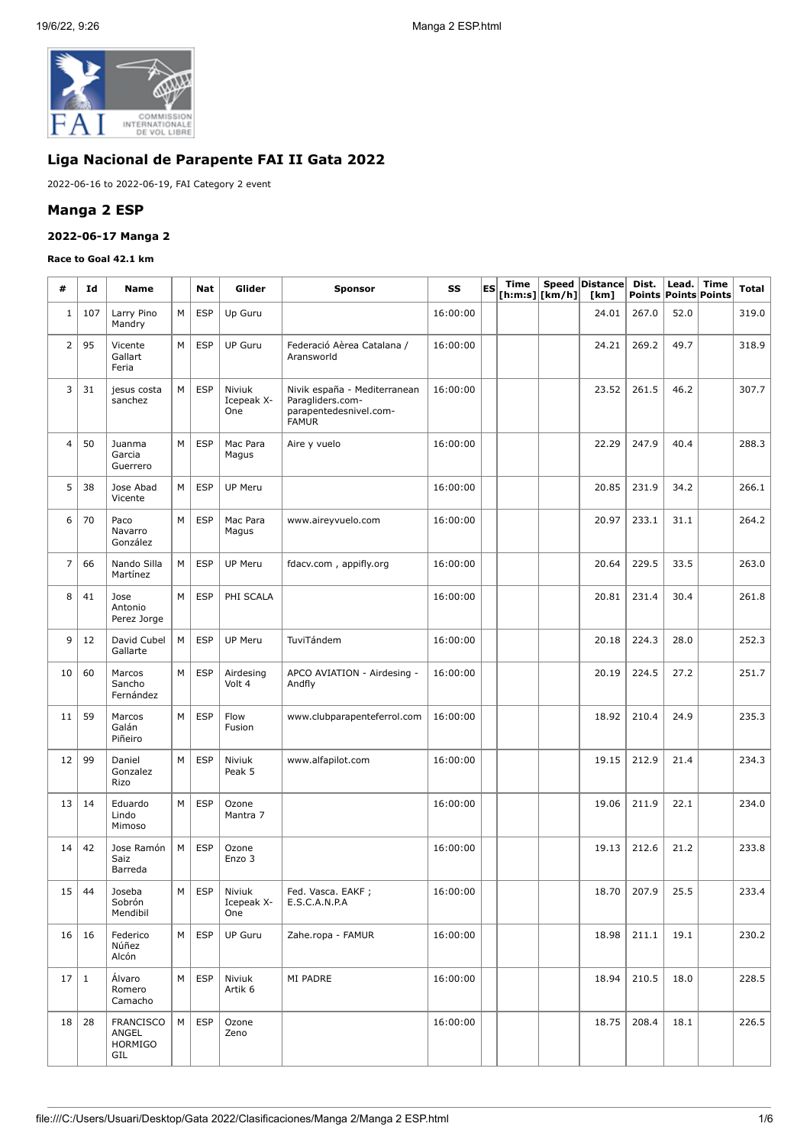

# **Liga Nacional de Parapente FAI II Gata 2022**

2022-06-16 to 2022-06-19, FAI Category 2 event

### **Manga 2 ESP**

# **2022-06-17 Manga 2**

#### **Race to Goal 42.1 km**

| #               | Id           | <b>Name</b>                                 |   | Nat        | Glider                                      | <b>Sponsor</b>                                                                             | SS       | ES | Time | $[$ h:m:s] $ $ [km/h] $ $ | Speed Distance<br>[km] | Dist.       | Lead.<br>Points Points Points | Time | Total |
|-----------------|--------------|---------------------------------------------|---|------------|---------------------------------------------|--------------------------------------------------------------------------------------------|----------|----|------|---------------------------|------------------------|-------------|-------------------------------|------|-------|
| $\mathbf{1}$    | 107          | Larry Pino<br>Mandry                        | М | <b>ESP</b> | Up Guru                                     |                                                                                            | 16:00:00 |    |      |                           | 24.01                  | 267.0       | 52.0                          |      | 319.0 |
| $\overline{2}$  | 95           | Vicente<br>Gallart<br>Feria                 | М | <b>ESP</b> | <b>UP Guru</b>                              | Federació Aèrea Catalana /<br>Aransworld                                                   | 16:00:00 |    |      |                           | 24.21                  | 269.2       | 49.7                          |      | 318.9 |
| 3               | 31           | jesus costa<br>sanchez                      | М | <b>ESP</b> | Niviuk<br>Icepeak X-<br>One                 | Nivik españa - Mediterranean<br>Paragliders.com-<br>parapentedesnivel.com-<br><b>FAMUR</b> | 16:00:00 |    |      |                           | 23.52                  | 261.5       | 46.2                          |      | 307.7 |
| $\overline{4}$  | 50           | Juanma<br>Garcia<br>Guerrero                | M | <b>ESP</b> | Mac Para<br>Magus                           | Aire y vuelo                                                                               | 16:00:00 |    |      |                           | 22.29                  | 247.9       | 40.4                          |      | 288.3 |
| 5               | 38           | Jose Abad<br>Vicente                        | М | <b>ESP</b> | <b>UP Meru</b>                              |                                                                                            | 16:00:00 |    |      |                           | 20.85                  | 231.9       | 34.2                          |      | 266.1 |
| 6               | 70           | Paco<br>Navarro<br>González                 | M | <b>ESP</b> | Mac Para<br>Magus                           | www.aireyvuelo.com                                                                         | 16:00:00 |    |      |                           | 20.97                  | 233.1       | 31.1                          |      | 264.2 |
| $\overline{7}$  | 66           | Nando Silla<br>Martínez                     | М | <b>ESP</b> | <b>UP Meru</b>                              | fdacv.com, appifly.org                                                                     | 16:00:00 |    |      |                           | 20.64                  | 229.5       | 33.5                          |      | 263.0 |
| 8               | 41           | Jose<br>Antonio<br>Perez Jorge              | М | <b>ESP</b> | PHI SCALA                                   |                                                                                            | 16:00:00 |    |      |                           | 20.81                  | 231.4       | 30.4                          |      | 261.8 |
| 9               | 12           | David Cubel<br>Gallarte                     | M | <b>ESP</b> | <b>UP Meru</b>                              | TuviTándem                                                                                 | 16:00:00 |    |      |                           | 20.18                  | 224.3       | 28.0                          |      | 252.3 |
| 10              | 60           | Marcos<br>Sancho<br>Fernández               | M | <b>ESP</b> | Airdesing<br>Volt 4                         | APCO AVIATION - Airdesing -<br>Andfly                                                      | 16:00:00 |    |      |                           | 20.19                  | 224.5       | 27.2                          |      | 251.7 |
| 11              | 59           | Marcos<br>Galán<br>Piñeiro                  | M | <b>ESP</b> | Flow<br>Fusion                              | www.clubparapenteferrol.com                                                                | 16:00:00 |    |      |                           | 18.92                  | 210.4       | 24.9                          |      | 235.3 |
| 12              | 99           | Daniel<br>Gonzalez<br>Rizo                  | М | <b>ESP</b> | Niviuk<br>Peak 5                            | www.alfapilot.com                                                                          | 16:00:00 |    |      |                           | 19.15                  | 212.9       | 21.4                          |      | 234.3 |
| 13              | 14           | Eduardo<br>Lindo<br>Mimoso                  | M | <b>ESP</b> | Ozone<br>Mantra 7                           |                                                                                            | 16:00:00 |    |      |                           | 19.06                  | 211.9       | 22.1                          |      | 234.0 |
| 14              | 42           | Jose Ramón<br>Saiz<br>Barreda               | М | <b>ESP</b> | Ozone<br>Enzo 3                             |                                                                                            | 16:00:00 |    |      |                           | 19.13                  | 212.6       | 21.2                          |      | 233.8 |
|                 | $15 \mid 44$ | Joseba<br>Sobrón<br>Mendibil                |   |            | $M \vert$ ESP   Niviuk<br>Icepeak X-<br>One | Fed. Vasca. EAKF ;<br>E.S.C.A.N.P.A                                                        | 16:00:00 |    |      |                           |                        | 18.70 207.9 | 25.5                          |      | 233.4 |
|                 | $16 \mid 16$ | Federico<br>Núñez<br>Alcón                  | M | <b>ESP</b> | <b>UP Guru</b>                              | Zahe.ropa - FAMUR                                                                          | 16:00:00 |    |      |                           | 18.98                  | 211.1       | 19.1                          |      | 230.2 |
| 17 1            |              | Álvaro<br>Romero<br>Camacho                 | M | ESP        | Niviuk<br>Artik <sub>6</sub>                | MI PADRE                                                                                   | 16:00:00 |    |      |                           | 18.94                  | 210.5       | 18.0                          |      | 228.5 |
| 18 <sup>1</sup> | 28           | FRANCISCO<br>ANGEL<br><b>HORMIGO</b><br>GIL | M | <b>ESP</b> | Ozone<br>Zeno                               |                                                                                            | 16:00:00 |    |      |                           | 18.75                  | 208.4       | 18.1                          |      | 226.5 |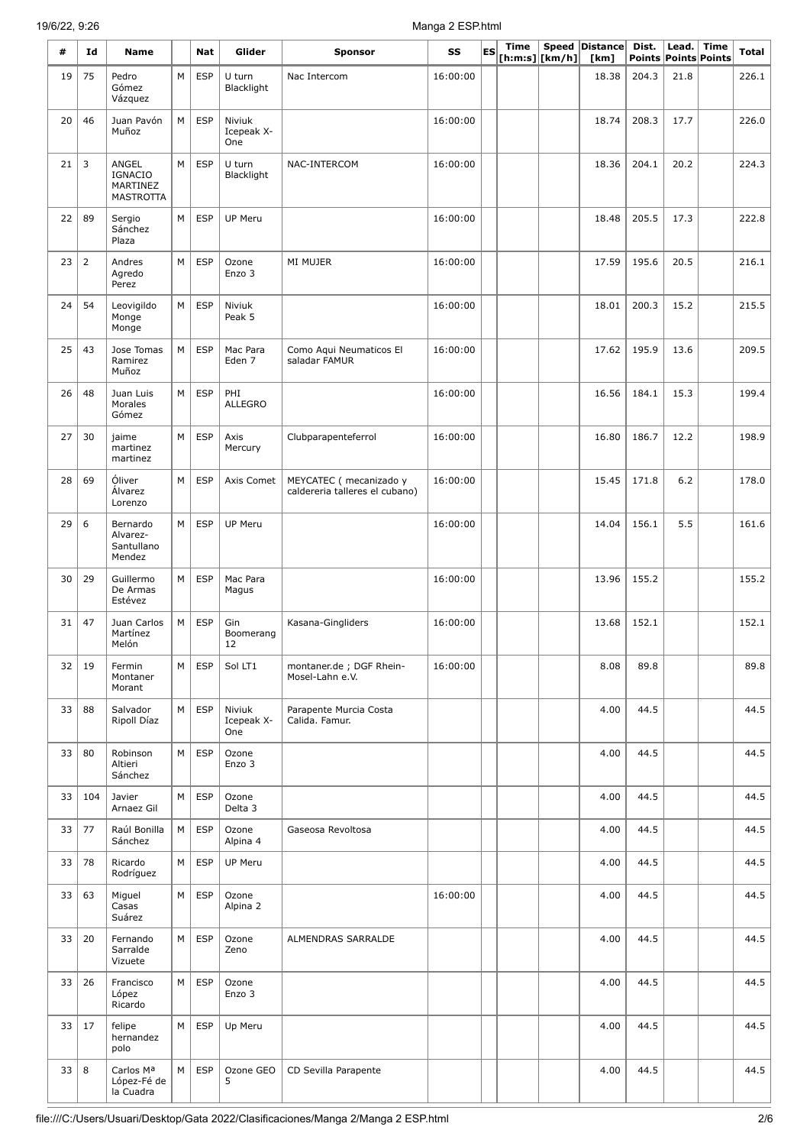# 19/6/22, 9:26 Manga 2 ESP.html

| #  | Id             | Name                                                    |   | Nat        | Glider                      | <b>Sponsor</b>                                            | SS       | ES | <b>Time</b> | [ h: m: s]   [ km/h] | Speed Distance<br>[km] | Dist. | Lead. | Time<br>Points Points Points | Total |
|----|----------------|---------------------------------------------------------|---|------------|-----------------------------|-----------------------------------------------------------|----------|----|-------------|----------------------|------------------------|-------|-------|------------------------------|-------|
| 19 | 75             | Pedro<br>Gómez<br>Vázquez                               | М | <b>ESP</b> | U turn<br>Blacklight        | Nac Intercom                                              | 16:00:00 |    |             |                      | 18.38                  | 204.3 | 21.8  |                              | 226.1 |
| 20 | 46             | Juan Pavón<br>Muñoz                                     | M | <b>ESP</b> | Niviuk<br>Icepeak X-<br>One |                                                           | 16:00:00 |    |             |                      | 18.74                  | 208.3 | 17.7  |                              | 226.0 |
| 21 | 3              | ANGEL<br><b>IGNACIO</b><br>MARTINEZ<br><b>MASTROTTA</b> | М | <b>ESP</b> | U turn<br>Blacklight        | NAC-INTERCOM                                              | 16:00:00 |    |             |                      | 18.36                  | 204.1 | 20.2  |                              | 224.3 |
| 22 | 89             | Sergio<br>Sánchez<br>Plaza                              | M | <b>ESP</b> | UP Meru                     |                                                           | 16:00:00 |    |             |                      | 18.48                  | 205.5 | 17.3  |                              | 222.8 |
| 23 | $\overline{2}$ | Andres<br>Agredo<br>Perez                               | М | <b>ESP</b> | Ozone<br>Enzo 3             | MI MUJER                                                  | 16:00:00 |    |             |                      | 17.59                  | 195.6 | 20.5  |                              | 216.1 |
| 24 | 54             | Leovigildo<br>Monge<br>Monge                            | М | <b>ESP</b> | Niviuk<br>Peak 5            |                                                           | 16:00:00 |    |             |                      | 18.01                  | 200.3 | 15.2  |                              | 215.5 |
| 25 | 43             | Jose Tomas<br>Ramirez<br>Muñoz                          | М | <b>ESP</b> | Mac Para<br>Eden 7          | Como Aqui Neumaticos El<br>saladar FAMUR                  | 16:00:00 |    |             |                      | 17.62                  | 195.9 | 13.6  |                              | 209.5 |
| 26 | 48             | Juan Luis<br>Morales<br>Gómez                           | М | <b>ESP</b> | PHI<br><b>ALLEGRO</b>       |                                                           | 16:00:00 |    |             |                      | 16.56                  | 184.1 | 15.3  |                              | 199.4 |
| 27 | 30             | jaime<br>martinez<br>martinez                           | М | <b>ESP</b> | Axis<br>Mercury             | Clubparapenteferrol                                       | 16:00:00 |    |             |                      | 16.80                  | 186.7 | 12.2  |                              | 198.9 |
| 28 | 69             | Óliver<br>Alvarez<br>Lorenzo                            | М | <b>ESP</b> | Axis Comet                  | MEYCATEC ( mecanizado y<br>caldereria talleres el cubano) | 16:00:00 |    |             |                      | 15.45                  | 171.8 | 6.2   |                              | 178.0 |
| 29 | 6              | Bernardo<br>Alvarez-<br>Santullano<br>Mendez            | М | <b>ESP</b> | <b>UP Meru</b>              |                                                           | 16:00:00 |    |             |                      | 14.04                  | 156.1 | 5.5   |                              | 161.6 |
| 30 | 29             | Guillermo<br>De Armas<br>Estévez                        | М | <b>ESP</b> | Mac Para<br>Magus           |                                                           | 16:00:00 |    |             |                      | 13.96                  | 155.2 |       |                              | 155.2 |
| 31 | 47             | Juan Carlos<br>Martínez<br>Melón                        | M | <b>ESP</b> | Gin<br>Boomerang<br>12      | Kasana-Gingliders                                         | 16:00:00 |    |             |                      | 13.68                  | 152.1 |       |                              | 152.1 |
| 32 | 19             | Fermin<br>Montaner<br>Morant                            | М | <b>ESP</b> | Sol LT1                     | montaner.de; DGF Rhein-<br>Mosel-Lahn e.V.                | 16:00:00 |    |             |                      | 8.08                   | 89.8  |       |                              | 89.8  |
| 33 | 88             | Salvador<br>Ripoll Díaz                                 | М | <b>ESP</b> | Niviuk<br>Icepeak X-<br>One | Parapente Murcia Costa<br>Calida. Famur.                  |          |    |             |                      | 4.00                   | 44.5  |       |                              | 44.5  |
| 33 | 80             | Robinson<br>Altieri<br>Sánchez                          | М | <b>ESP</b> | Ozone<br>Enzo 3             |                                                           |          |    |             |                      | 4.00                   | 44.5  |       |                              | 44.5  |
| 33 | 104            | Javier<br>Arnaez Gil                                    | М | <b>ESP</b> | Ozone<br>Delta 3            |                                                           |          |    |             |                      | 4.00                   | 44.5  |       |                              | 44.5  |
| 33 | 77             | Raúl Bonilla<br>Sánchez                                 | М | <b>ESP</b> | Ozone<br>Alpina 4           | Gaseosa Revoltosa                                         |          |    |             |                      | 4.00                   | 44.5  |       |                              | 44.5  |
| 33 | 78             | Ricardo<br>Rodríguez                                    | М | <b>ESP</b> | UP Meru                     |                                                           |          |    |             |                      | 4.00                   | 44.5  |       |                              | 44.5  |
| 33 | 63             | Miguel<br>Casas<br>Suárez                               | М | <b>ESP</b> | Ozone<br>Alpina 2           |                                                           | 16:00:00 |    |             |                      | 4.00                   | 44.5  |       |                              | 44.5  |
| 33 | 20             | Fernando<br>Sarralde<br>Vizuete                         | М | <b>ESP</b> | Ozone<br>Zeno               | ALMENDRAS SARRALDE                                        |          |    |             |                      | 4.00                   | 44.5  |       |                              | 44.5  |
| 33 | 26             | Francisco<br>López<br>Ricardo                           | М | <b>ESP</b> | Ozone<br>Enzo 3             |                                                           |          |    |             |                      | 4.00                   | 44.5  |       |                              | 44.5  |
| 33 | 17             | felipe<br>hernandez<br>polo                             | М | <b>ESP</b> | Up Meru                     |                                                           |          |    |             |                      | 4.00                   | 44.5  |       |                              | 44.5  |
| 33 | 8              | Carlos Ma<br>López-Fé de<br>la Cuadra                   | М | <b>ESP</b> | Ozone GEO<br>5              | CD Sevilla Parapente                                      |          |    |             |                      | 4.00                   | 44.5  |       |                              | 44.5  |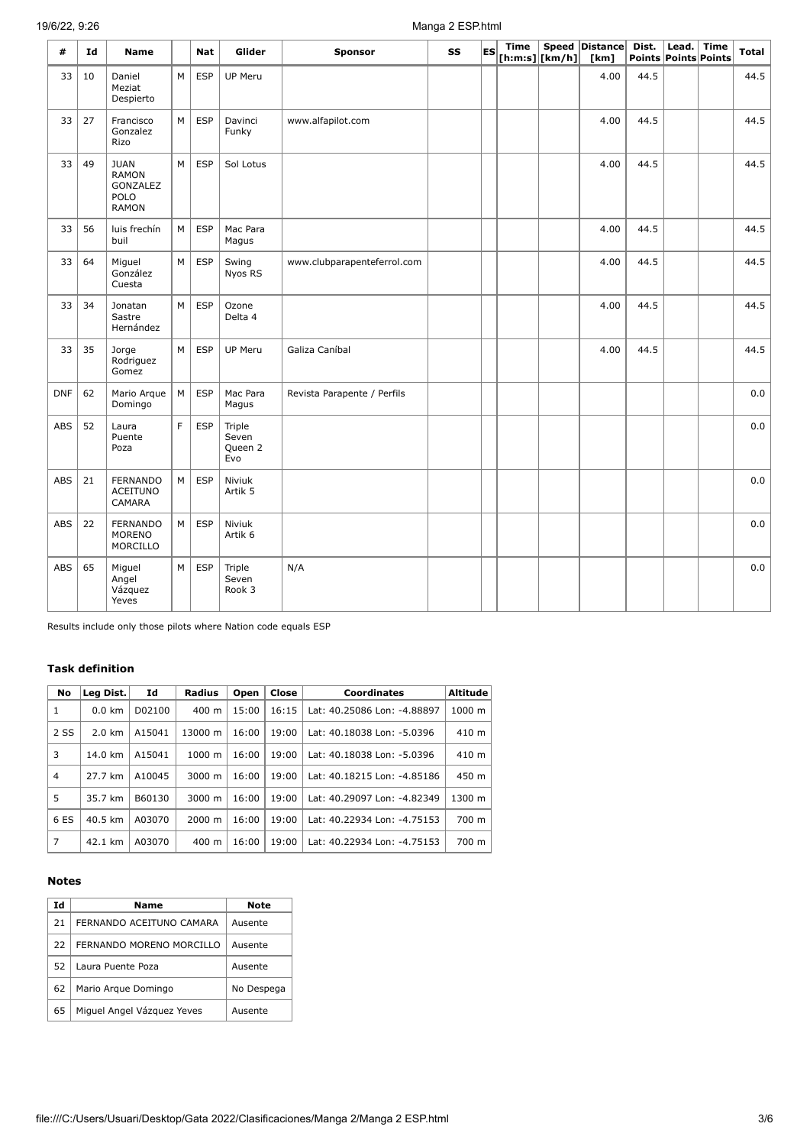# 19/6/22, 9:26 Manga 2 ESP.html

| #          | Id | <b>Name</b>                                                     |   | Nat        | Glider                            | Sponsor                     | SS | ES | <b>Time</b> | $[h:m:s][km/h]]$ | Speed Distance<br>[km] | Dist. | Lead. | <b>Time</b><br>Points Points Points | <b>Total</b> |
|------------|----|-----------------------------------------------------------------|---|------------|-----------------------------------|-----------------------------|----|----|-------------|------------------|------------------------|-------|-------|-------------------------------------|--------------|
| 33         | 10 | Daniel<br>Meziat<br>Despierto                                   | M | <b>ESP</b> | UP Meru                           |                             |    |    |             |                  | 4.00                   | 44.5  |       |                                     | 44.5         |
| 33         | 27 | Francisco<br>Gonzalez<br>Rizo                                   | M | <b>ESP</b> | Davinci<br>Funky                  | www.alfapilot.com           |    |    |             |                  | 4.00                   | 44.5  |       |                                     | 44.5         |
| 33         | 49 | <b>JUAN</b><br><b>RAMON</b><br>GONZALEZ<br>POLO<br><b>RAMON</b> | M | <b>ESP</b> | Sol Lotus                         |                             |    |    |             |                  | 4.00                   | 44.5  |       |                                     | 44.5         |
| 33         | 56 | luis frechín<br>buil                                            | М | <b>ESP</b> | Mac Para<br>Magus                 |                             |    |    |             |                  | 4.00                   | 44.5  |       |                                     | 44.5         |
| 33         | 64 | Miguel<br>González<br>Cuesta                                    | M | <b>ESP</b> | Swing<br>Nyos RS                  | www.clubparapenteferrol.com |    |    |             |                  | 4.00                   | 44.5  |       |                                     | 44.5         |
| 33         | 34 | Jonatan<br>Sastre<br>Hernández                                  | M | <b>ESP</b> | Ozone<br>Delta 4                  |                             |    |    |             |                  | 4.00                   | 44.5  |       |                                     | 44.5         |
| 33         | 35 | Jorge<br>Rodriguez<br>Gomez                                     | M | <b>ESP</b> | UP Meru                           | Galiza Caníbal              |    |    |             |                  | 4.00                   | 44.5  |       |                                     | 44.5         |
| <b>DNF</b> | 62 | Mario Arque<br>Domingo                                          | M | <b>ESP</b> | Mac Para<br>Magus                 | Revista Parapente / Perfils |    |    |             |                  |                        |       |       |                                     | 0.0          |
| ABS        | 52 | Laura<br>Puente<br>Poza                                         | F | <b>ESP</b> | Triple<br>Seven<br>Queen 2<br>Evo |                             |    |    |             |                  |                        |       |       |                                     | 0.0          |
| ABS        | 21 | <b>FERNANDO</b><br><b>ACEITUNO</b><br>CAMARA                    | M | <b>ESP</b> | Niviuk<br>Artik 5                 |                             |    |    |             |                  |                        |       |       |                                     | 0.0          |
| ABS        | 22 | <b>FERNANDO</b><br><b>MORENO</b><br>MORCILLO                    | M | <b>ESP</b> | Niviuk<br>Artik 6                 |                             |    |    |             |                  |                        |       |       |                                     | 0.0          |
| ABS        | 65 | Miguel<br>Angel<br>Vázquez<br>Yeves                             | M | <b>ESP</b> | Triple<br>Seven<br>Rook 3         | N/A                         |    |    |             |                  |                        |       |       |                                     | 0.0          |

Results include only those pilots where Nation code equals ESP

### **Task definition**

| No             | Leg Dist.        | Id     | <b>Radius</b>      | Open  | Close | <b>Coordinates</b>          | Altitude |
|----------------|------------------|--------|--------------------|-------|-------|-----------------------------|----------|
| 1              | $0.0 \text{ km}$ | D02100 | $400 \text{ m}$    | 15:00 | 16:15 | Lat: 40.25086 Lon: -4.88897 | 1000 m   |
| 2 SS           | $2.0 \text{ km}$ | A15041 | 13000 m            | 16:00 | 19:00 | Lat: 40.18038 Lon: -5.0396  | 410 m    |
| 3              | 14.0 km          | A15041 | 1000 m             | 16:00 | 19:00 | Lat: 40.18038 Lon: -5.0396  | 410 m    |
| $\overline{4}$ | 27.7 km          | A10045 | $3000 \; \text{m}$ | 16:00 | 19:00 | Lat: 40.18215 Lon: -4.85186 | 450 m    |
| 5              | 35.7 km          | B60130 | $3000 \; \text{m}$ | 16:00 | 19:00 | Lat: 40.29097 Lon: -4.82349 | 1300 m   |
| 6 ES           | 40.5 km          | A03070 | 2000 m             | 16:00 | 19:00 | Lat: 40.22934 Lon: -4.75153 | 700 m    |
| $\overline{7}$ | 42.1 km          | A03070 | $400 \text{ m}$    | 16:00 | 19:00 | Lat: 40.22934 Lon: -4.75153 | 700 m    |

#### **Notes**

| Id | Name                       | Note       |
|----|----------------------------|------------|
| 21 | FERNANDO ACEITUNO CAMARA   | Ausente    |
| 22 | FERNANDO MORENO MORCILLO   | Ausente    |
| 52 | Laura Puente Poza          | Ausente    |
| 62 | Mario Arque Domingo        | No Despega |
| 65 | Miguel Angel Vázguez Yeves | Ausente    |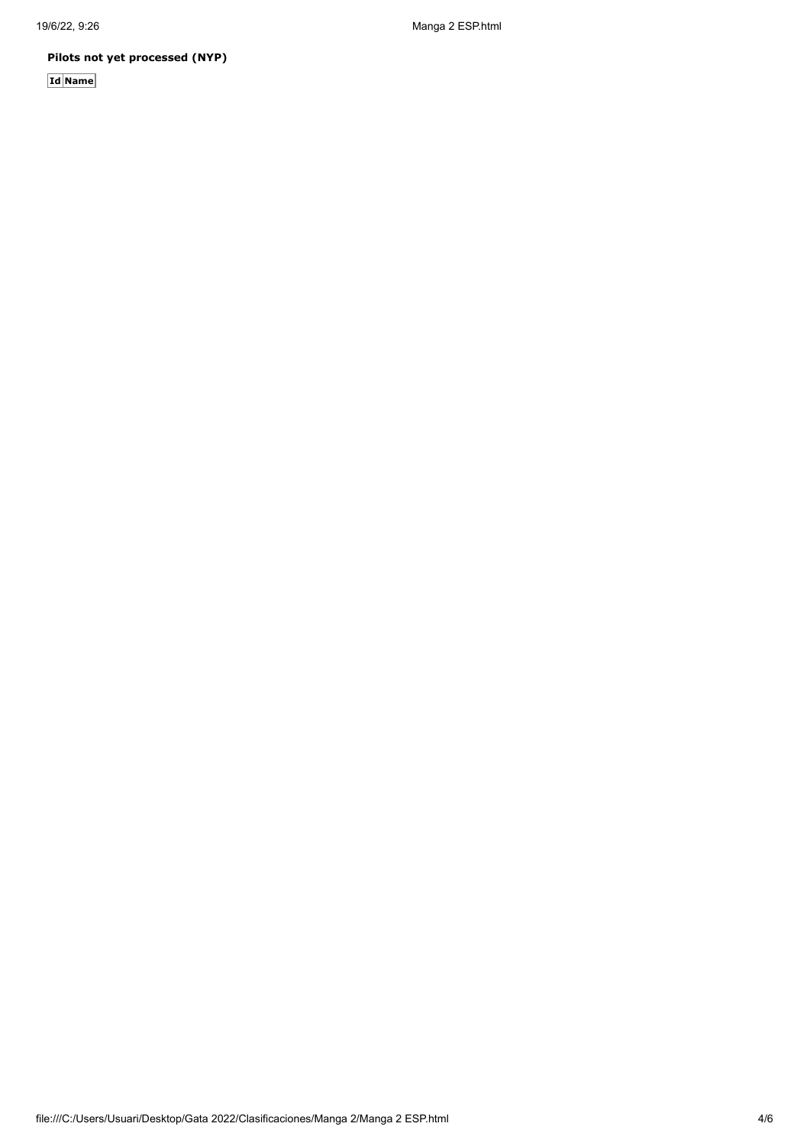19/6/22, 9:26 Manga 2 ESP.html

## **Pilots not yet processed (NYP)**

**Id Name**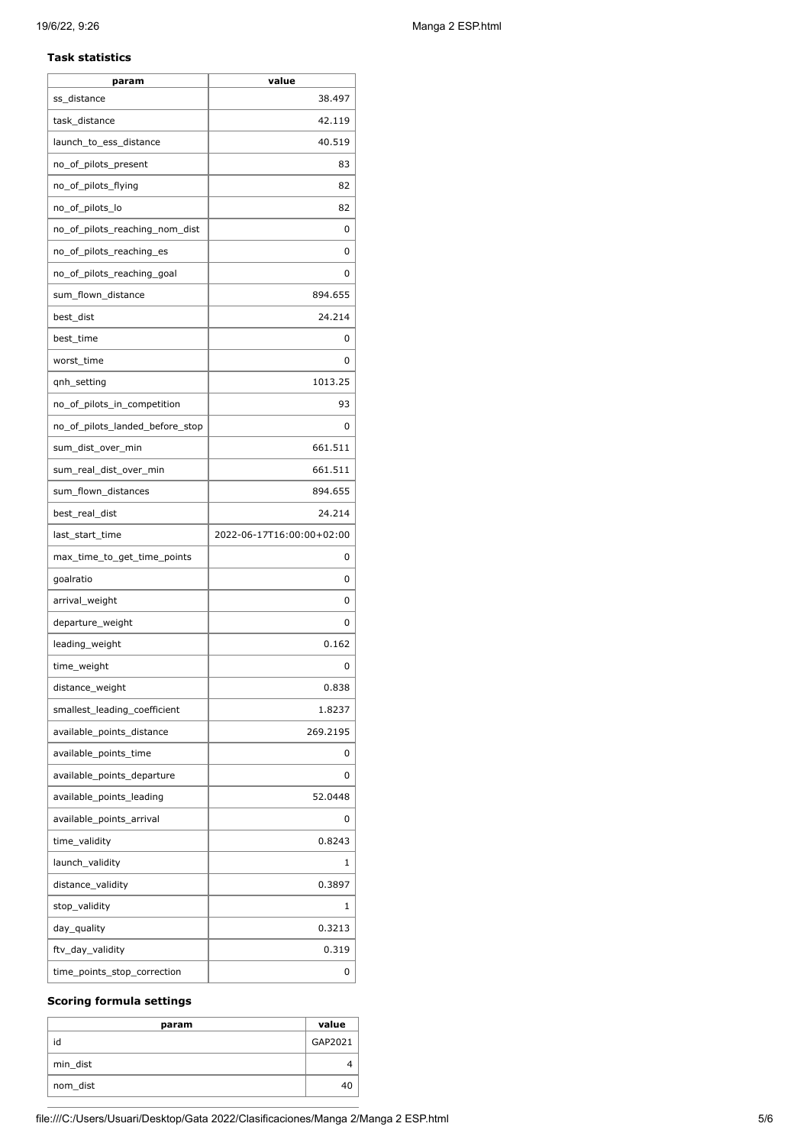#### **Task statistics**

| param                           | value                     |
|---------------------------------|---------------------------|
| ss distance                     | 38.497                    |
| task distance                   | 42.119                    |
| launch_to_ess_distance          | 40.519                    |
| no_of_pilots_present            | 83                        |
| no_of_pilots_flying             | 82                        |
| no_of_pilots_lo                 | 82                        |
| no_of_pilots_reaching_nom_dist  | 0                         |
| no_of_pilots_reaching_es        | 0                         |
| no_of_pilots_reaching_goal      | 0                         |
| sum_flown_distance              | 894.655                   |
| best_dist                       | 24.214                    |
| best_time                       | 0                         |
| worst_time                      | 0                         |
| qnh_setting                     | 1013.25                   |
| no_of_pilots_in_competition     | 93                        |
| no_of_pilots_landed_before_stop | 0                         |
| sum dist over min               | 661.511                   |
| sum_real_dist_over_min          | 661.511                   |
| sum_flown_distances             | 894.655                   |
| best_real_dist                  | 24.214                    |
| last_start_time                 | 2022-06-17T16:00:00+02:00 |
| max_time_to_get_time_points     | 0                         |
| goalratio                       | 0                         |
| arrival_weight                  | 0                         |
| departure_weight                | 0                         |
| leading_weight                  | 0.162                     |
| time_weight                     | 0                         |
| distance_weight                 | 0.838                     |
| smallest_leading_coefficient    | 1.8237                    |
| available_points_distance       | 269.2195                  |
| available_points_time           | 0                         |
| available_points_departure      | 0                         |
| available_points_leading        | 52.0448                   |
| available_points_arrival        | 0                         |
| time_validity                   | 0.8243                    |
| launch_validity                 | 1                         |
| distance_validity               | 0.3897                    |
| stop_validity                   | 1                         |
| day_quality                     | 0.3213                    |
| ftv_day_validity                | 0.319                     |
| time_points_stop_correction     | 0                         |

#### **Scoring formula settings**

| param    | value   |
|----------|---------|
| id       | GAP2021 |
| min dist |         |
| nom_dist | 40      |